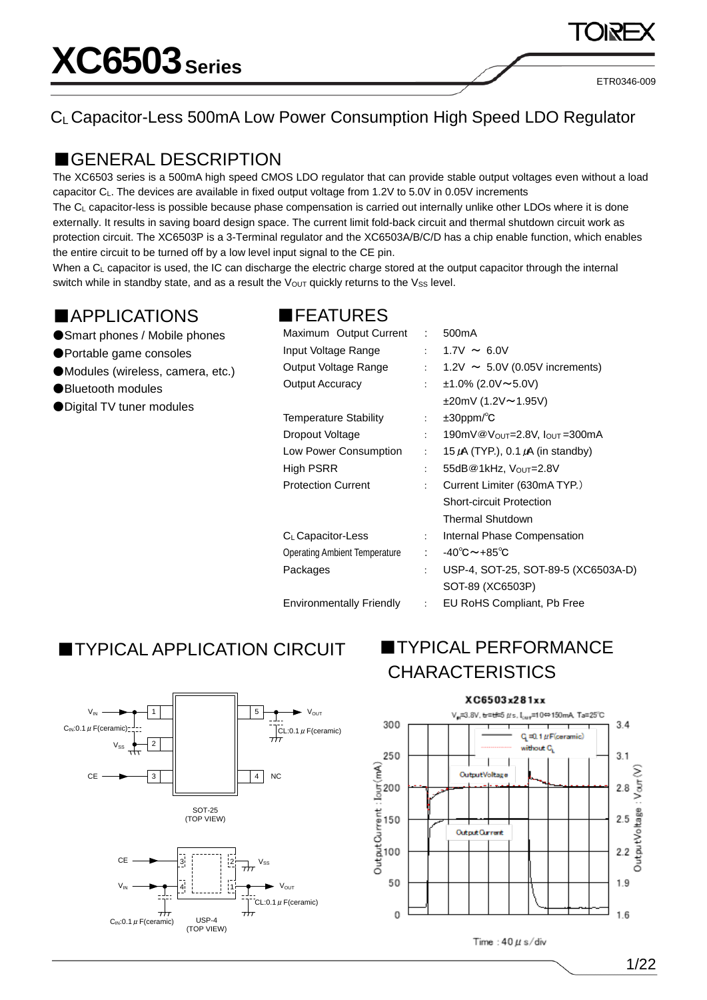ETR0346-009

## CL Capacitor-Less 500mA Low Power Consumption High Speed LDO Regulator

### ■GENERAL DESCRIPTION

The XC6503 series is a 500mA high speed CMOS LDO regulator that can provide stable output voltages even without a load capacitor CL. The devices are available in fixed output voltage from 1.2V to 5.0V in 0.05V increments

The CL capacitor-less is possible because phase compensation is carried out internally unlike other LDOs where it is done externally. It results in saving board design space. The current limit fold-back circuit and thermal shutdown circuit work as protection circuit. The XC6503P is a 3-Terminal regulator and the XC6503A/B/C/D has a chip enable function, which enables the entire circuit to be turned off by a low level input signal to the CE pin.

When a C<sub>L</sub> capacitor is used, the IC can discharge the electric charge stored at the output capacitor through the internal switch while in standby state, and as a result the  $V_{\text{OUT}}$  quickly returns to the  $V_{SS}$  level.

## ■APPLICATIONS

- Smart phones / Mobile phones
- ●Portable game consoles
- ●Modules (wireless, camera, etc.)
- ●Bluetooth modules
- Digital TV tuner modules

## ■FEATURES

| Maximum Output Current               | $\mathcal{L}$        | 500 <sub>m</sub> A                          |
|--------------------------------------|----------------------|---------------------------------------------|
| Input Voltage Range                  | t in                 | $1.7V \sim 6.0V$                            |
| Output Voltage Range                 | $\ddot{\phantom{a}}$ | $1.2V \sim 5.0V$ (0.05V increments)         |
| <b>Output Accuracy</b>               | ÷                    | $±1.0\%$ (2.0V $\sim$ 5.0V)                 |
|                                      |                      | ±20mV (1.2V~1.95V)                          |
| <b>Temperature Stability</b>         | ÷.                   | $\pm 30$ ppm/ $\degree$ C                   |
| Dropout Voltage                      | ÷                    | 190mV@Vout=2.8V, lout=300mA                 |
| Low Power Consumption                | $\ddot{\cdot}$       | 15 $\mu$ A (TYP.), 0.1 $\mu$ A (in standby) |
| High PSRR                            | ÷                    | 55dB@1kHz, Vout=2.8V                        |
| <b>Protection Current</b>            | ÷                    | Current Limiter (630mA TYP.)                |
|                                      |                      | <b>Short-circuit Protection</b>             |
|                                      |                      | Thermal Shutdown                            |
| C <sub>L</sub> Capacitor-Less        | ÷.                   | Internal Phase Compensation                 |
| <b>Operating Ambient Temperature</b> | ÷.                   | $-40^{\circ}$ C $\sim$ +85 $^{\circ}$ C     |
| Packages                             | ÷                    | USP-4, SOT-25, SOT-89-5 (XC6503A-D)         |
|                                      |                      | SOT-89 (XC6503P)                            |
| <b>Environmentally Friendly</b>      | ÷                    | EU RoHS Compliant, Pb Free                  |

**TYPICAL APPLICATION CIRCUIT** 

## **TYPICAL PERFORMANCE CHARACTERISTICS**



#### XC6503x281xx  $V_{\rm pl}$ =3.8V, tr=tf=5  $\mu$ s,  $I_{\rm our}$ =10 $\Leftrightarrow$ 150mA, Ta=25°C 300  $3.4$  $Q = 0.1 \mu F_{\text{(ceramic)}}$ without C 250  $3.1$ 1 A)<br>Detail Careert : 150<br>Ottai<br>O **Output Voltage**

**Output Current** 

50

0



1.9

 $1.6$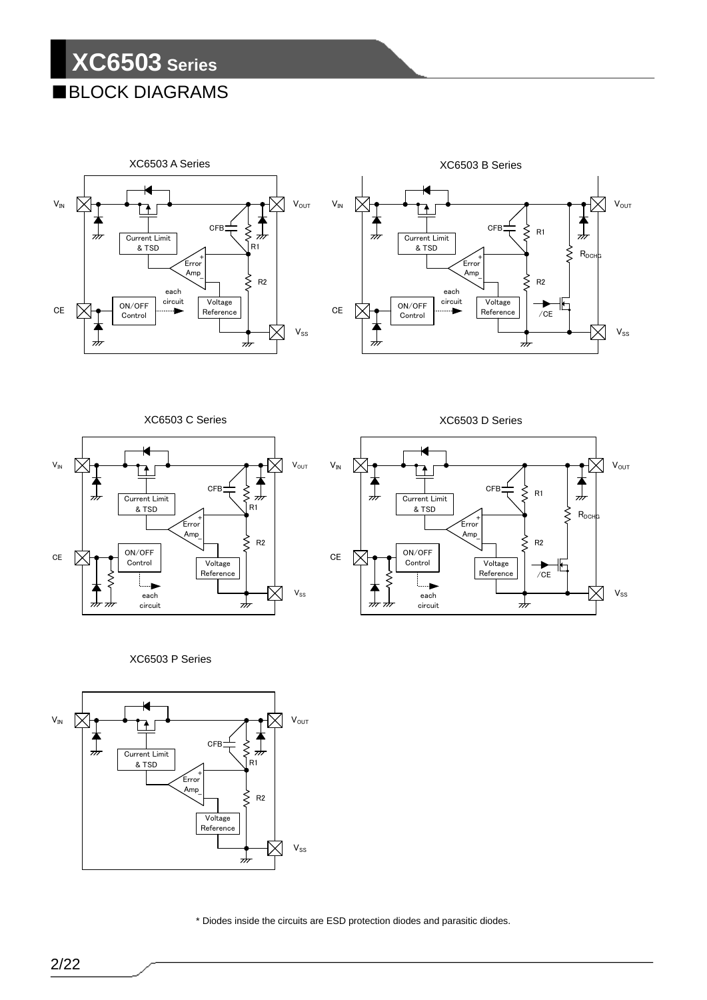



XC6503 C Series XC6503 D Series





XC6503 P Series



\* Diodes inside the circuits are ESD protection diodes and parasitic diodes.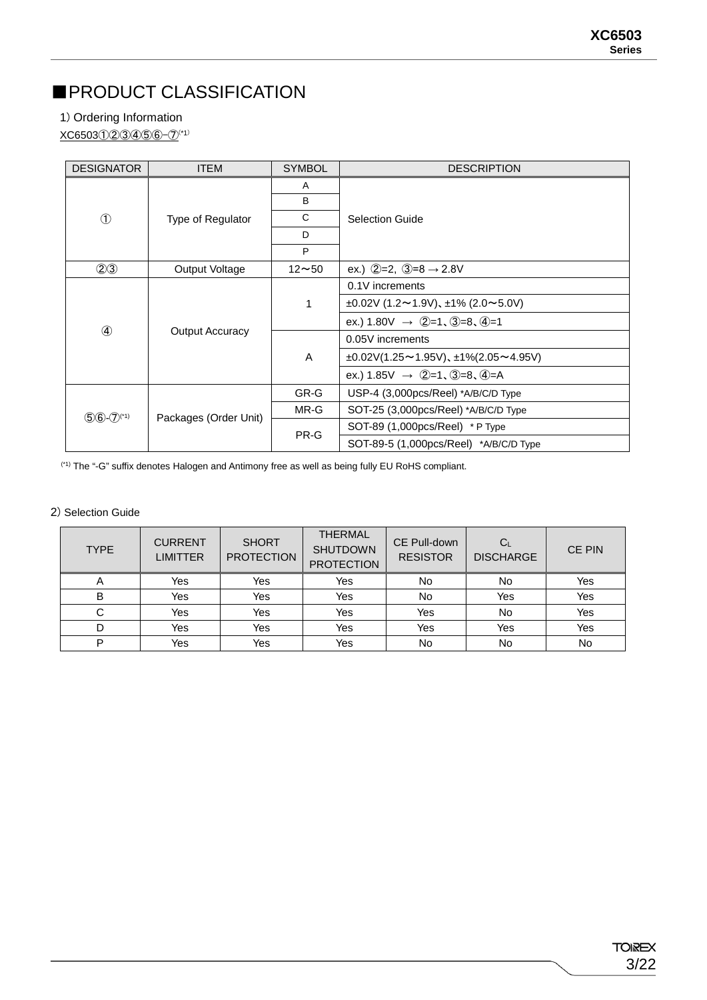## ■PRODUCT CLASSIFICATION

#### 1) Ordering Information

XC6503①②③④⑤⑥-⑦(\*1)

| <b>DESIGNATOR</b> | <b>ITEM</b>            | <b>SYMBOL</b> | <b>DESCRIPTION</b>                                                                  |  |  |
|-------------------|------------------------|---------------|-------------------------------------------------------------------------------------|--|--|
|                   |                        | A             |                                                                                     |  |  |
|                   |                        | B             |                                                                                     |  |  |
| $\circled{1}$     | Type of Regulator      | C             | Selection Guide                                                                     |  |  |
|                   |                        | D             |                                                                                     |  |  |
|                   |                        | P             |                                                                                     |  |  |
| (2)3              | Output Voltage         | $12 - 50$     | ex.) $(2)=2$ , $(3)=8 \rightarrow 2.8V$                                             |  |  |
|                   |                        |               | 0.1V increments                                                                     |  |  |
|                   |                        | 1             | $\pm 0.02V$ (1.2~1.9V), $\pm 1\%$ (2.0~5.0V)                                        |  |  |
|                   |                        |               | ex.) 1.80V $\rightarrow$ (2=1, 3=8, 4=1)                                            |  |  |
|                   | <b>Output Accuracy</b> |               | 0.05V increments                                                                    |  |  |
|                   |                        | A             | $\pm 0.02 \text{V} (1.25 \sim 1.95 \text{V})$ , $\pm 1\% (2.05 \sim 4.95 \text{V})$ |  |  |
|                   |                        |               | ex.) 1.85V $\rightarrow$ (2=1, 3=8, 4=A)                                            |  |  |
|                   |                        | GR-G          | USP-4 (3,000pcs/Reel) *A/B/C/D Type                                                 |  |  |
| $56 - 7$ (*1)     |                        | MR-G          | SOT-25 (3,000pcs/Reel) *A/B/C/D Type                                                |  |  |
|                   | Packages (Order Unit)  | PR-G          | SOT-89 (1,000pcs/Reel) * P Type                                                     |  |  |
|                   |                        |               | SOT-89-5 (1,000pcs/Reel) *A/B/C/D Type                                              |  |  |

(\*1) The "-G" suffix denotes Halogen and Antimony free as well as being fully EU RoHS compliant.

#### 2) Selection Guide

| <b>TYPE</b>    | <b>CURRENT</b><br><b>LIMITTER</b> | <b>SHORT</b><br><b>PROTECTION</b> | <b>THERMAL</b><br><b>SHUTDOWN</b><br><b>PROTECTION</b> | CE Pull-down<br><b>RESISTOR</b> | C <sub>L</sub><br><b>DISCHARGE</b> | <b>CE PIN</b> |
|----------------|-----------------------------------|-----------------------------------|--------------------------------------------------------|---------------------------------|------------------------------------|---------------|
| $\overline{A}$ | Yes                               | Yes                               | Yes                                                    | No                              | No                                 | Yes           |
| B              | Yes                               | Yes                               | Yes                                                    | No                              | Yes                                | Yes           |
| C              | Yes                               | Yes                               | Yes                                                    | Yes                             | No                                 | Yes           |
| D              | Yes                               | Yes                               | Yes                                                    | Yes                             | Yes                                | Yes           |
| D              | Yes                               | Yes                               | Yes                                                    | No                              | No                                 | No            |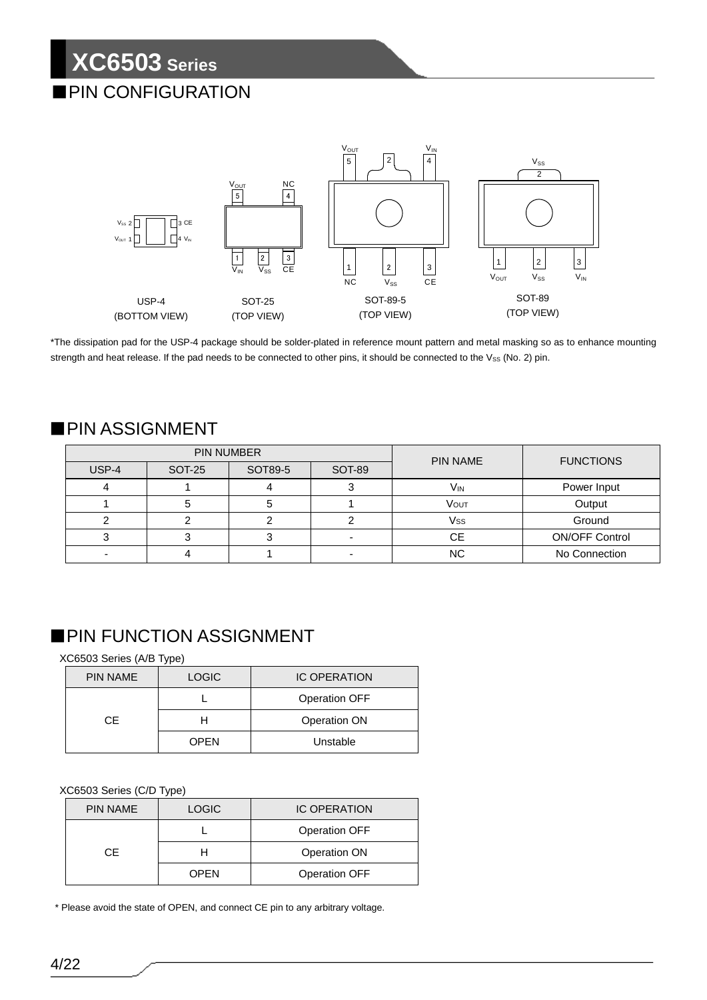## ■**PIN CONFIGURATION**



\*The dissipation pad for the USP-4 package should be solder-plated in reference mount pattern and metal masking so as to enhance mounting strength and heat release. If the pad needs to be connected to other pins, it should be connected to the  $V_{SS}$  (No. 2) pin.

### ■ PIN ASSIGNMENT

|       |        | <b>PIN NUMBER</b> |               | <b>PIN NAME</b> | <b>FUNCTIONS</b>      |
|-------|--------|-------------------|---------------|-----------------|-----------------------|
| USP-4 | SOT-25 | SOT89-5           | <b>SOT-89</b> |                 |                       |
|       |        |                   |               | Vın             | Power Input           |
|       |        |                   |               | VOUT            | Output                |
|       |        |                   |               | Vss             | Ground                |
|       |        |                   |               | CЕ              | <b>ON/OFF Control</b> |
|       |        |                   |               | NС              | No Connection         |

## **FIN FUNCTION ASSIGNMENT**

XC6503 Series (A/B Type)

| <b>PIN NAME</b> | <b>LOGIC</b> | <b>IC OPERATION</b>  |  |
|-----------------|--------------|----------------------|--|
|                 |              | <b>Operation OFF</b> |  |
| CF.             | н            | <b>Operation ON</b>  |  |
|                 | <b>OPEN</b>  | Unstable             |  |

#### XC6503 Series (C/D Type)

| <b>PIN NAME</b> | <b>LOGIC</b> | <b>IC OPERATION</b>  |  |
|-----------------|--------------|----------------------|--|
|                 |              | <b>Operation OFF</b> |  |
| CF.             |              | Operation ON         |  |
|                 | <b>OPEN</b>  | <b>Operation OFF</b> |  |

\* Please avoid the state of OPEN, and connect CE pin to any arbitrary voltage.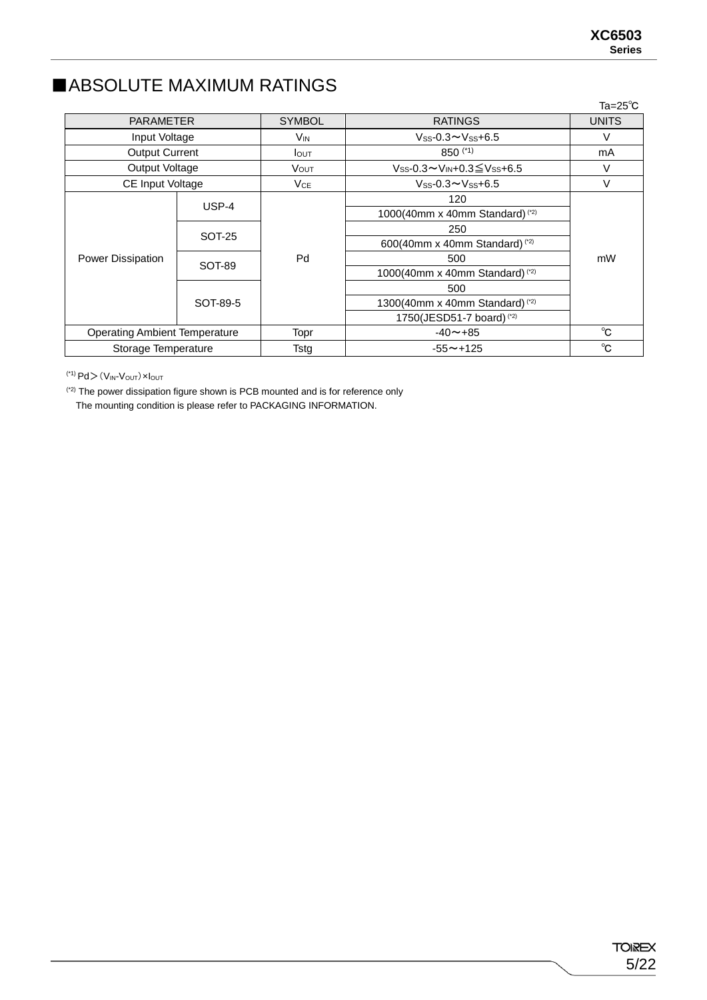# ■ABSOLUTE MAXIMUM RATINGS<br>
Ta=25℃

|                                      |          |                       |                                             | 1a=z5 ⊂      |    |                                 |
|--------------------------------------|----------|-----------------------|---------------------------------------------|--------------|----|---------------------------------|
| <b>PARAMETER</b>                     |          | <b>SYMBOL</b>         | <b>RATINGS</b>                              | <b>UNITS</b> |    |                                 |
| Input Voltage                        |          | <b>V<sub>IN</sub></b> | $V$ ss-0.3 $\sim$ Vss+6.5                   | V            |    |                                 |
| <b>Output Current</b>                |          | $I_{\text{OUT}}$      | $850$ (*1)                                  | mA           |    |                                 |
| Output Voltage                       |          | <b>VOUT</b>           | $V_{SS}$ -0.3∼ $V_{IN}$ +0.3≦ $V_{SS}$ +6.5 | v            |    |                                 |
| CE Input Voltage                     |          | $V_{CE}$              | $V_{SS} - 0.3 - V_{SS} + 6.5$               | V            |    |                                 |
|                                      | $USP-4$  |                       | 120                                         |              |    |                                 |
|                                      |          |                       | 1000(40mm x 40mm Standard) (*2)             |              |    |                                 |
|                                      | SOT-25   |                       | 250                                         |              |    |                                 |
|                                      |          | Pd                    |                                             |              |    | 600(40mm x 40mm Standard) $(2)$ |
| <b>Power Dissipation</b>             | SOT-89   |                       |                                             | 500          | mW |                                 |
|                                      |          |                       | 1000(40mm x 40mm Standard) (*2)             |              |    |                                 |
|                                      |          |                       | 500                                         |              |    |                                 |
|                                      | SOT-89-5 |                       | 1300(40mm x 40mm Standard) <sup>(*2)</sup>  |              |    |                                 |
|                                      |          |                       | 1750(JESD51-7 board) (*2)                   |              |    |                                 |
| <b>Operating Ambient Temperature</b> |          | Topr                  | $-40 \sim +85$                              | $^{\circ}$ C |    |                                 |
| Storage Temperature                  |          | Tstg                  | $-55 \sim +125$                             | $^{\circ}C$  |    |                                 |

(\*1)  $Pd$   $>$   $(V_{IN}$ - $V_{OUT})$   $\times I_{OUT}$ 

(\*2) The power dissipation figure shown is PCB mounted and is for reference only The mounting condition is please refer to PACKAGING INFORMATION.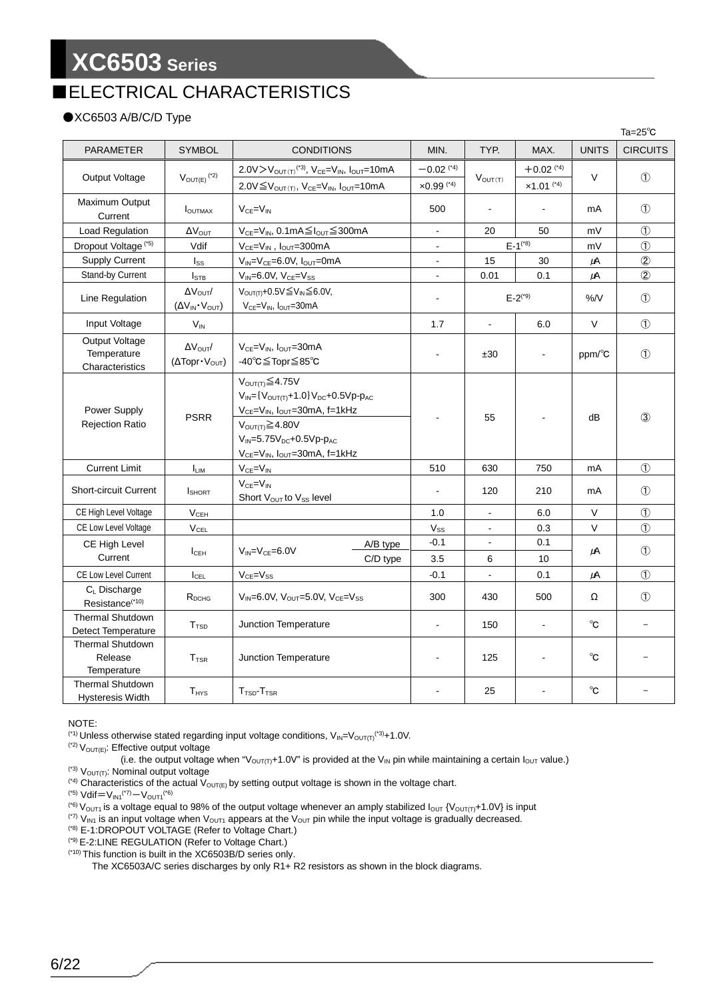## ■ELECTRICAL CHARACTERISTICS

#### ●XC6503 A/B/C/D Type

|                                                    |                                                                         |                                                                                                                                                                                                                                                                                                      |                                                               |                |                          |                         |              | Ta=25°C           |
|----------------------------------------------------|-------------------------------------------------------------------------|------------------------------------------------------------------------------------------------------------------------------------------------------------------------------------------------------------------------------------------------------------------------------------------------------|---------------------------------------------------------------|----------------|--------------------------|-------------------------|--------------|-------------------|
| <b>PARAMETER</b>                                   | <b>SYMBOL</b>                                                           | <b>CONDITIONS</b>                                                                                                                                                                                                                                                                                    |                                                               | MIN.           | TYP.                     | MAX.                    | <b>UNITS</b> | <b>CIRCUITS</b>   |
|                                                    |                                                                         | $2.0 \vee V_{\text{OUT(T)}}^{(3)}, V_{\text{CE}} = V_{\text{IN}}$ , $I_{\text{OUT}} = 10 \text{mA}$                                                                                                                                                                                                  |                                                               | $-0.02$ (*4)   |                          | $+0.02$ <sup>(*4)</sup> |              |                   |
| Output Voltage                                     | $V_{OUT(E)}$ <sup>(*2)</sup>                                            |                                                                                                                                                                                                                                                                                                      | $2.0V \leq V_{OUT(T)}$ , $V_{CE} = V_{IN}$ , $I_{OUT} = 10mA$ |                | $V_{\text{OUT(T)}}$      | $x1.01$ <sup>(*4)</sup> | V            | $\circled{1}$     |
| Maximum Output<br>Current                          | <b>I</b> OUTMAX                                                         | $V_{CE} = V_{IN}$                                                                                                                                                                                                                                                                                    |                                                               | 500            | $\overline{a}$           | $\blacksquare$          | mA           | $\circled{1}$     |
| Load Regulation                                    | $\Delta V_{\text{OUT}}$                                                 | $V_{CE} = V_{IN}$ , 0.1mA $\leq$ $I_{OUT} \leq$ 300mA                                                                                                                                                                                                                                                |                                                               | $\mathbf{r}$   | 20                       | 50                      | mV           | $\circled{1}$     |
| Dropout Voltage <sup>(*5)</sup>                    | Vdif                                                                    | $V_{CE} = V_{IN}$ , $I_{OUT} = 300mA$                                                                                                                                                                                                                                                                |                                                               |                |                          | $E - 1^{(*8)}$          | mV           | $\circled{1}$     |
| <b>Supply Current</b>                              | $I_{SS}$                                                                | $V_{IN} = V_{CE} = 6.0V, I_{OUT} = 0mA$                                                                                                                                                                                                                                                              |                                                               | $\blacksquare$ | 15                       | 30                      | μA           | $\circled{2}$     |
| Stand-by Current                                   | I <sub>STB</sub>                                                        | $V_{IN} = 6.0V$ , $V_{CE} = V_{SS}$                                                                                                                                                                                                                                                                  |                                                               |                | 0.01                     | 0.1                     | μA           | $\circled{2}$     |
| Line Regulation                                    | $\Delta V_{\text{OUT}}/$<br>$(\Delta V_{IN} \cdot V_{OUT})$             | $V_{\text{OUT(T)}} + 0.5V \leq V_{\text{IN}} \leq 6.0V,$<br>$V_{CE} = V_{IN}$ , $I_{OUT} = 30mA$                                                                                                                                                                                                     |                                                               | $\sim$         |                          | $E - 2^{(*)}$           | %N           | $\circled{1}$     |
| Input Voltage                                      | $V_{\text{IN}}$                                                         |                                                                                                                                                                                                                                                                                                      |                                                               | 1.7            | L.                       | 6.0                     | $\vee$       | $\circled{1}$     |
| Output Voltage<br>Temperature<br>Characteristics   | $\Delta V_{\text{OUT}}/$<br>$(\Delta \text{Topr} \cdot V_{\text{OUT}})$ | $V_{CE} = V_{IN}$ , $I_{OUT} = 30mA$<br>-40°C≦Topr≦85°C                                                                                                                                                                                                                                              |                                                               | $\overline{a}$ | ±30                      |                         | ppm/°C       | $\circled{1}$     |
| Power Supply<br><b>Rejection Ratio</b>             | <b>PSRR</b>                                                             | $V_{\text{OUT(T)}}{\leq}4.75V$<br>$V_{IN} = {V_{OUT(T)}+1.0}V_{DC}+0.5Vp-p_{AC}$<br>V <sub>CE</sub> =V <sub>IN</sub> , I <sub>OUT</sub> =30mA, f=1kHz<br>$V_{\text{OUT(T)}}{\geq}4.80V$<br>$V_{IN} = 5.75V_{DC} + 0.5Vp-p_{AC}$<br>V <sub>CE</sub> =V <sub>IN</sub> , I <sub>OUT</sub> =30mA, f=1kHz |                                                               |                | 55                       | $\overline{a}$          | dB           | $\circled{3}$     |
| <b>Current Limit</b>                               | <b>LIM</b>                                                              | $V_{CE} = V_{IN}$                                                                                                                                                                                                                                                                                    |                                                               | 510            | 630                      | 750                     | mA           | $\circled{1}$     |
| <b>Short-circuit Current</b>                       | <b>I</b> SHORT                                                          | $V_{CF} = V_{IN}$<br>Short V <sub>OUT</sub> to V <sub>SS</sub> level                                                                                                                                                                                                                                 |                                                               |                | 120                      | 210                     | mA           | $\circ$           |
| CE High Level Voltage                              | $V_{CEH}$                                                               |                                                                                                                                                                                                                                                                                                      |                                                               | 1.0            |                          | 6.0                     | $\vee$       | $\circled{1}$     |
| <b>CE Low Level Voltage</b>                        | V <sub>CEL</sub>                                                        |                                                                                                                                                                                                                                                                                                      |                                                               | $V_{SS}$       | $\overline{\phantom{a}}$ | 0.3                     | $\vee$       | $\circled{1}$     |
| CE High Level                                      |                                                                         |                                                                                                                                                                                                                                                                                                      | A/B type                                                      | $-0.1$         |                          | 0.1                     |              | $\bigcirc$        |
| Current                                            | $I_{\sf CEH}$                                                           | $V_{IN} = V_{CF} = 6.0V$                                                                                                                                                                                                                                                                             | C/D type                                                      | 3.5            | 6                        | 10                      | μA           |                   |
| CE Low Level Current                               | $I_{\texttt{CEL}}$                                                      | $V_{CE} = V_{SS}$                                                                                                                                                                                                                                                                                    |                                                               | $-0.1$         | $\mathbf{r}$             | 0.1                     | μA           | $\circled{1}$     |
| CL Discharge<br>Resistance <sup>(*10)</sup>        | R <sub>DCHG</sub>                                                       | $V_{IN} = 6.0V$ , $V_{OUT} = 5.0V$ , $V_{CE} = V_{SS}$                                                                                                                                                                                                                                               |                                                               | 300            | 430                      | 500                     | Ω            | $\circled{1}$     |
| Thermal Shutdown<br>Detect Temperature             | T <sub>TSD</sub>                                                        | Junction Temperature                                                                                                                                                                                                                                                                                 |                                                               | $\blacksquare$ | 150                      | $\tilde{\phantom{a}}$   | $^{\circ}$ C | $\qquad \qquad -$ |
| <b>Thermal Shutdown</b><br>Release<br>Temperature  | T <sub>TSR</sub>                                                        | Junction Temperature                                                                                                                                                                                                                                                                                 |                                                               |                | 125                      |                         | °C           |                   |
| <b>Thermal Shutdown</b><br><b>Hysteresis Width</b> | $T_{HYS}$                                                               | $TTSD - TTSR$                                                                                                                                                                                                                                                                                        |                                                               |                | 25                       |                         | $^{\circ}$ C |                   |

#### NOTE:

<sup>(\*1)</sup> Unless otherwise stated regarding input voltage conditions,  $V_{IN} = V_{OUT(T)}({}^{3}) + 1.0V$ .<br><sup>(\*2)</sup> V<sub>OUT(E)</sub>: Effective output voltage

(i.e. the output voltage when "V<sub>OUT(T)</sub>+1.0V" is provided at the V<sub>IN</sub> pin while maintaining a certain I<sub>OUT</sub> value.)

 $(3)$   $V_{\text{OUT(T)}}$ : Nominal output voltage

(\*4) Characteristics of the actual  $V_{\text{OUT}(E)}$  by setting output voltage is shown in the voltage chart.

 $^{(45)}$  Vdif = V<sub>IN1</sub><sup>(47)</sup> - V<sub>OUT1</sub><sup>(46)</sup>

<sup>(\*6)</sup> V<sub>OUT1</sub> is a voltage equal to 98% of the output voltage whenever an amply stabilized  $I_{\text{OUT}}$  {V<sub>OUT(T)</sub>+1.0V} is input

 $(7)$  V<sub>IN1</sub> is an input voltage when V<sub>OUT1</sub> appears at the V<sub>OUT</sub> pin while the input voltage is gradually decreased.

(\*8) E-1:DROPOUT VOLTAGE (Refer to Voltage Chart.)

(\*9) E-2:LINE REGULATION (Refer to Voltage Chart.)

(\*10) This function is built in the XC6503B/D series only.

The XC6503A/C series discharges by only R1+ R2 resistors as shown in the block diagrams.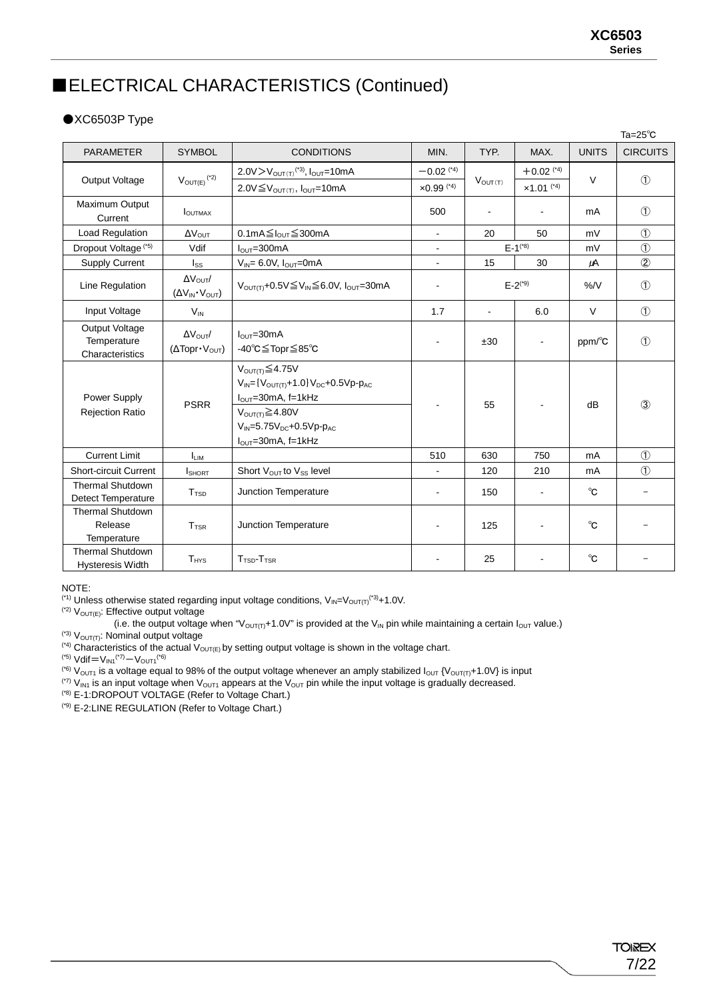## ■ELECTRICAL CHARACTERISTICS (Continued)

#### ●XC6503P Type

|                                                      |                                                                         |                                                                                                                                                                                                          |                          |                |                          |                        | $Ta = 25^\circ C$ |
|------------------------------------------------------|-------------------------------------------------------------------------|----------------------------------------------------------------------------------------------------------------------------------------------------------------------------------------------------------|--------------------------|----------------|--------------------------|------------------------|-------------------|
| <b>PARAMETER</b>                                     | <b>SYMBOL</b>                                                           | <b>CONDITIONS</b>                                                                                                                                                                                        | MIN.                     | TYP.           | MAX.                     | <b>UNITS</b>           | <b>CIRCUITS</b>   |
|                                                      |                                                                         | $2.0 \vee V_{\text{OUT(T)}}^{(3)}, I_{\text{OUT}} = 10 \text{mA}$                                                                                                                                        | $-0.02$ (*4)             |                | $+0.02$ <sup>(*4)</sup>  |                        |                   |
| Output Voltage                                       | $V_{OUT(E)}$ <sup>(*2)</sup>                                            | $2.0V \leq V_{\text{OUT}}$ $I_{\text{OUT}} = 10mA$                                                                                                                                                       | $\times 0.99$ (*4)       | $V_{OUT(T)}$   | $x1.01$ <sup>(*4)</sup>  | $\vee$                 | $\circled{1}$     |
| Maximum Output<br>Current                            | I <sub>OUTMAX</sub>                                                     |                                                                                                                                                                                                          | 500                      | $\blacksquare$ | $\overline{\phantom{a}}$ | mA                     | $\circled{1}$     |
| Load Regulation                                      | $\Delta V_{OUT}$                                                        | $0.1$ mA $\leq$ I <sub>OUT</sub> $\leq$ 300mA                                                                                                                                                            | $\overline{\phantom{a}}$ | 20             | 50                       | mV                     | $\circled{1}$     |
| Dropout Voltage <sup>(*5)</sup>                      | Vdif                                                                    | $I_{\text{OUT}} = 300 \text{mA}$                                                                                                                                                                         |                          |                | $E - 1^{(*8)}$           | mV                     | $\circled{1}$     |
| <b>Supply Current</b>                                | $I_{SS}$                                                                | $V_{IN} = 6.0V$ , $I_{OUT} = 0$ mA                                                                                                                                                                       | $\blacksquare$           | 15             | 30                       | μA                     | $\circled{2}$     |
| Line Regulation                                      | $\Delta V_{\text{OUT}}/$<br>$(\Delta V_{IN} \cdot V_{OUT})$             | $V_{\text{OUT}}$ +0.5V $\leq$ V <sub>IN</sub> $\leq$ 6.0V, I <sub>OUT</sub> =30mA                                                                                                                        |                          |                | $E - 2^{(*)}$            | $%$ /V                 | $\circled{1}$     |
| Input Voltage                                        | $V_{IN}$                                                                |                                                                                                                                                                                                          | 1.7                      | $\mathbf{r}$   | 6.0                      | $\vee$                 | $\circled{1}$     |
| Output Voltage<br>Temperature<br>Characteristics     | $\Delta V_{\text{OUT}}/$<br>$(\Delta \text{Topr} \cdot V_{\text{OUT}})$ | $IOUT=30mA$<br>-40°C≦Topr≦85°C                                                                                                                                                                           |                          | ±30            | $\overline{\phantom{a}}$ | $ppm$ <sup>o</sup> $C$ | $\circled{1}$     |
| Power Supply<br><b>Rejection Ratio</b>               | <b>PSRR</b>                                                             | $V_{\text{OUT(T)}}{\leq}4.75V$<br>$V_{IN} = {V_{OUT(T)}+1.0}V_{DC}+0.5Vp-p_{AC}$<br>$IOUT=30mA, f=1kHz$<br>$V_{\text{OUT(T)}}{\geq}4.80V$<br>$V_{IN} = 5.75V_{DC} + 0.5Vp-p_{AC}$<br>$IOUT=30mA, f=1kHz$ |                          | 55             | $\blacksquare$           | dB                     | $\circled{3}$     |
| <b>Current Limit</b>                                 | <b>ILIM</b>                                                             |                                                                                                                                                                                                          | 510                      | 630            | 750                      | mA                     | $\circled{1}$     |
| <b>Short-circuit Current</b>                         | <b>I</b> SHORT                                                          | Short V <sub>OUT</sub> to V <sub>SS</sub> level                                                                                                                                                          | ÷.                       | 120            | 210                      | mA                     | $\circled{1}$     |
| <b>Thermal Shutdown</b><br><b>Detect Temperature</b> | T <sub>TSD</sub>                                                        | Junction Temperature                                                                                                                                                                                     | $\mathbf{r}$             | 150            | $\blacksquare$           | $^{\circ}$ C           |                   |
| <b>Thermal Shutdown</b><br>Release<br>Temperature    | <b>T</b> <sub>TSR</sub>                                                 | Junction Temperature                                                                                                                                                                                     |                          | 125            | $\overline{\phantom{a}}$ | $^{\circ}$ C           |                   |
| <b>Thermal Shutdown</b><br><b>Hysteresis Width</b>   | $T_{HYS}$                                                               | $TTSD-TTSR$                                                                                                                                                                                              |                          | 25             | $\overline{\phantom{a}}$ | $^{\circ}$ C           |                   |

NOTE:

<sup>(\*1)</sup> Unless otherwise stated regarding input voltage conditions,  $V_{IN} = V_{OUT(T)}^{(2)} + 1.0V$ .<br><sup>(\*2)</sup> V<sub>OUT(E)</sub>: Effective output voltage

(i.e. the output voltage when "V<sub>OUT(T)</sub>+1.0V" is provided at the V<sub>IN</sub> pin while maintaining a certain I<sub>OUT</sub> value.)

 $(3)$   $V_{\text{OUT}(T)}$ : Nominal output voltage

<sup>(\*4)</sup> Characteristics of the actual V<sub>OUT(E)</sub> by setting output voltage is shown in the voltage chart.

(\*5) Vdif=V<sub>IN1</sub>(\*7)-V<sub>OUT1</sub>(\*6)

<sup>(\*6)</sup>  $V_{\text{OUT1}}$  is a voltage equal to 98% of the output voltage whenever an amply stabilized  $I_{\text{OUT}}$  { $V_{\text{OUT(T)}}+1.0V$ } is input

(\*7)  $V_{\text{IM1}}$  is an input voltage when  $V_{\text{OUT1}}$  appears at the  $V_{\text{OUT}}$  pin while the input voltage is gradually decreased.

(\*8) E-1:DROPOUT VOLTAGE (Refer to Voltage Chart.)

(\*9) E-2:LINE REGULATION (Refer to Voltage Chart.)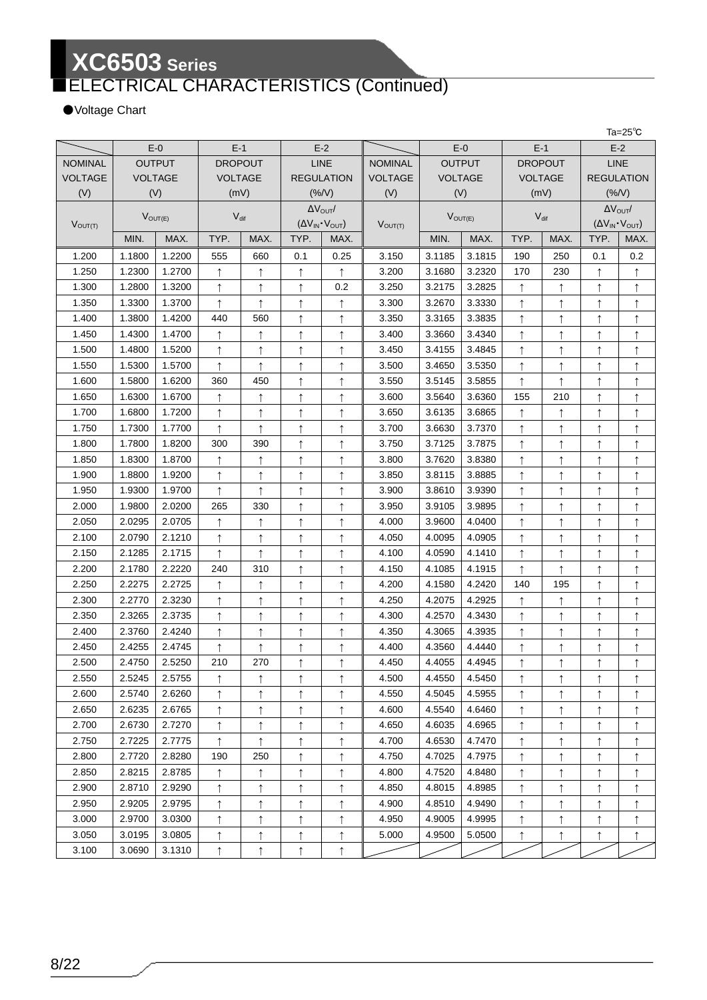## **XC6503 Series** ■ELECTRICAL CHARACTERISTICS (Continued)

#### ●Voltage Chart

|                |                |               |                  |            |             |                                 |                     |               |                |                  |      |                                 | Ta=25°C    |
|----------------|----------------|---------------|------------------|------------|-------------|---------------------------------|---------------------|---------------|----------------|------------------|------|---------------------------------|------------|
|                | $E-0$          |               | $E-1$            |            |             | $E-2$                           |                     |               | $E-0$          | $E-1$            |      | $E-2$                           |            |
| <b>NOMINAL</b> |                | <b>OUTPUT</b> | <b>DROPOUT</b>   |            |             | <b>LINE</b>                     | <b>NOMINAL</b>      | <b>OUTPUT</b> |                | <b>DROPOUT</b>   |      | <b>LINE</b>                     |            |
| <b>VOLTAGE</b> | <b>VOLTAGE</b> |               | <b>VOLTAGE</b>   |            |             | <b>REGULATION</b>               | <b>VOLTAGE</b>      |               | <b>VOLTAGE</b> | <b>VOLTAGE</b>   |      | <b>REGULATION</b>               |            |
| (V)            | (V)            |               | (mV)             |            |             | $(\%N)$                         | (V)                 | (V)           |                | (mV)             |      | (%/V)                           |            |
|                | $V_{OUT(E)}$   |               | $V_{\text{dif}}$ |            |             | $\Delta V_{\text{OUT}}/$        |                     | $V_{OUT(E)}$  |                | $V_{\text{dif}}$ |      | $\Delta V_{\text{OUT}}/$        |            |
| $V_{OUT(T)}$   |                |               |                  |            |             | $(\Delta V_{IN} \cdot V_{OUT})$ | $V_{\text{OUT(T)}}$ |               |                |                  |      | $(\Delta V_{IN} \cdot V_{OUT})$ |            |
|                | MIN.           | MAX.          | TYP.             | MAX.       | TYP.        | MAX.                            |                     | MIN.          | MAX.           | TYP.             | MAX. | TYP.                            | MAX.       |
| 1.200          | 1.1800         | 1.2200        | 555              | 660        | 0.1         | 0.25                            | 3.150               | 3.1185        | 3.1815         | 190              | 250  | 0.1                             | 0.2        |
| 1.250          | 1.2300         | 1.2700        | $\uparrow$       | ↑          | ↑           | ↑                               | 3.200               | 3.1680        | 3.2320         | 170              | 230  | $\uparrow$                      |            |
| 1.300          | 1.2800         | 1.3200        | $\uparrow$       | ↑          |             | 0.2                             | 3.250               | 3.2175        | 3.2825         | ↑                |      | ↑                               |            |
| 1.350          | 1.3300         | 1.3700        | $\uparrow$       | $\uparrow$ | $\uparrow$  | 1                               | 3.300               | 3.2670        | 3.3330         | $\uparrow$       |      | ↑                               |            |
| 1.400          | 1.3800         | 1.4200        | 440              | 560        | $\uparrow$  | ↑                               | 3.350               | 3.3165        | 3.3835         | $\uparrow$       | ↑    | $\uparrow$                      | $\uparrow$ |
| 1.450          | 1.4300         | 1.4700        | $\uparrow$       | $\uparrow$ | $\uparrow$  |                                 | 3.400               | 3.3660        | 3.4340         | $\uparrow$       |      | ↑                               | ↑          |
| 1.500          | 1.4800         | 1.5200        | $\uparrow$       | $\uparrow$ | $\uparrow$  | ↑                               | 3.450               | 3.4155        | 3.4845         | $\uparrow$       |      | $\uparrow$                      | ↑          |
| 1.550          | 1.5300         | 1.5700        | $\uparrow$       | $\uparrow$ |             |                                 | 3.500               | 3.4650        | 3.5350         | $\uparrow$       |      | ↑                               |            |
| 1.600          | 1.5800         | 1.6200        | 360              | 450        | $\uparrow$  |                                 | 3.550               | 3.5145        | 3.5855         | $\uparrow$       |      | ↑                               |            |
| 1.650          | 1.6300         | 1.6700        | ↑                | ↑          | $\uparrow$  | ↑                               | 3.600               | 3.5640        | 3.6360         | 155              | 210  | $\uparrow$                      | ↑          |
| 1.700          | 1.6800         | 1.7200        | $\uparrow$       | $\uparrow$ | ↑           | ↑                               | 3.650               | 3.6135        | 3.6865         | $\uparrow$       |      | ↑                               | ↑          |
| 1.750          | 1.7300         | 1.7700        | $\uparrow$       | $\uparrow$ | $\uparrow$  | ↑                               | 3.700               | 3.6630        | 3.7370         | $\uparrow$       |      | $\uparrow$                      | $\uparrow$ |
| 1.800          | 1.7800         | 1.8200        | 300              | 390        | $\uparrow$  |                                 | 3.750               | 3.7125        | 3.7875         | $\uparrow$       |      | ↑                               |            |
| 1.850          | 1.8300         | 1.8700        | $\uparrow$       | $\uparrow$ | $\uparrow$  |                                 | 3.800               | 3.7620        | 3.8380         | ↑                |      | ↑                               |            |
| 1.900          | 1.8800         | 1.9200        | ↑                | ↑          | $\uparrow$  | ↑                               | 3.850               | 3.8115        | 3.8885         | $\uparrow$       | ↑    | $\uparrow$                      | $\uparrow$ |
| 1.950          | 1.9300         | 1.9700        | $\uparrow$       | $\uparrow$ | ↑           | ↑                               | 3.900               | 3.8610        | 3.9390         | $\uparrow$       |      | ↑                               | ↑          |
| 2.000          | 1.9800         | 2.0200        | 265              | 330        | $\uparrow$  |                                 | 3.950               | 3.9105        | 3.9895         | $\uparrow$       |      | ↑                               |            |
| 2.050          | 2.0295         | 2.0705        | ↑                | ↑          | $\uparrow$  |                                 | 4.000               | 3.9600        | 4.0400         | $\uparrow$       |      | ↑                               |            |
| 2.100          | 2.0790         | 2.1210        | ↑                | $\uparrow$ | $\uparrow$  |                                 | 4.050               | 4.0095        | 4.0905         | $\uparrow$       |      | ↑                               |            |
| 2.150          | 2.1285         | 2.1715        | ↑                | ↑          | $\uparrow$  | ↑                               | 4.100               | 4.0590        | 4.1410         | $\uparrow$       | ↑    | $\uparrow$                      | ↑          |
| 2.200          | 2.1780         | 2.2220        | 240              | 310        | $\uparrow$  | ↑                               | 4.150               | 4.1085        | 4.1915         | $\uparrow$       |      | ↑                               | ↑          |
| 2.250          | 2.2275         | 2.2725        | $\uparrow$       | $\uparrow$ | $\uparrow$  | $\uparrow$                      | 4.200               | 4.1580        | 4.2420         | 140              | 195  | $\uparrow$                      | $\uparrow$ |
| 2.300          | 2.2770         | 2.3230        | ↑                | $\uparrow$ | $\uparrow$  |                                 | 4.250               | 4.2075        | 4.2925         | ↑                |      | $\uparrow$                      |            |
| 2.350          | 2.3265         | 2.3735        | $\uparrow$       | ↑          | $\uparrow$  |                                 | 4.300               | 4.2570        | 4.3430         | $\uparrow$       |      | ↑                               |            |
| 2.400          | 2.3760         | 2.4240        | ↑                | $\uparrow$ | $\uparrow$  | ↑                               | 4.350               | 4.3065        | 4.3935         | $\uparrow$       | ↑    | $\uparrow$                      | $\uparrow$ |
| 2.450          | 2.4255         | 2.4745        | $\uparrow$       | ↑          | ↑           | ↑                               | 4.400               | 4.3560        | 4.4440         | $\uparrow$       |      | ↑                               |            |
| 2.500          | 2.4750         | 2.5250        | 210              | 270        | $\triangle$ | $\triangle$                     | 4.450               | 4.4055        | 4.4945         | $\uparrow$       |      | $\uparrow$                      | $\uparrow$ |
| 2.550          | 2.5245         | 2.5755        | ↑                | ↑          | $\uparrow$  |                                 | 4.500               | 4.4550        | 4.5450         | $\uparrow$       |      | ↑                               |            |
| 2.600          | 2.5740         | 2.6260        | ↑                | ↑          | ↑           |                                 | 4.550               | 4.5045        | 4.5955         | ↑                |      | ↑                               |            |
| 2.650          | 2.6235         | 2.6765        | ↑                | ↑          | ↑           | ↑                               | 4.600               | 4.5540        | 4.6460         | $\uparrow$       |      | ↑                               |            |
| 2.700          | 2.6730         | 2.7270        | ↑                | ↑          | ↑           |                                 | 4.650               | 4.6035        | 4.6965         | ↑                |      | ↑                               |            |
| 2.750          | 2.7225         | 2.7775        | $\uparrow$       | $\uparrow$ | $\uparrow$  | ↑                               | 4.700               | 4.6530        | 4.7470         | $\uparrow$       |      | ↑                               |            |
| 2.800          | 2.7720         | 2.8280        | 190              | 250        | $\uparrow$  |                                 | 4.750               | 4.7025        | 4.7975         | ↑                |      | ↑                               |            |
| 2.850          | 2.8215         | 2.8785        | ↑                | ↑          | ↑           |                                 | 4.800               | 4.7520        | 4.8480         | ↑                |      | ↑                               |            |
| 2.900          | 2.8710         | 2.9290        | ↑                | ↑          | ↑           | ↑                               | 4.850               | 4.8015        | 4.8985         | ↑                |      | ↑                               | 1          |
| 2.950          | 2.9205         | 2.9795        | ↑                | ↑          | ↑           |                                 | 4.900               | 4.8510        | 4.9490         | $\uparrow$       |      | ↑                               |            |
| 3.000          | 2.9700         | 3.0300        | $\uparrow$       | ↑          | ↑           |                                 | 4.950               | 4.9005        | 4.9995         | $\uparrow$       |      | ↑                               |            |
| 3.050          | 3.0195         | 3.0805        | ↑                | ↑          | ↑           | ↑                               | 5.000               | 4.9500        | 5.0500         | ↑                |      |                                 |            |
| 3.100          | 3.0690         | 3.1310        | ↑                | ↑          | $\uparrow$  | ↑                               |                     |               |                |                  |      |                                 |            |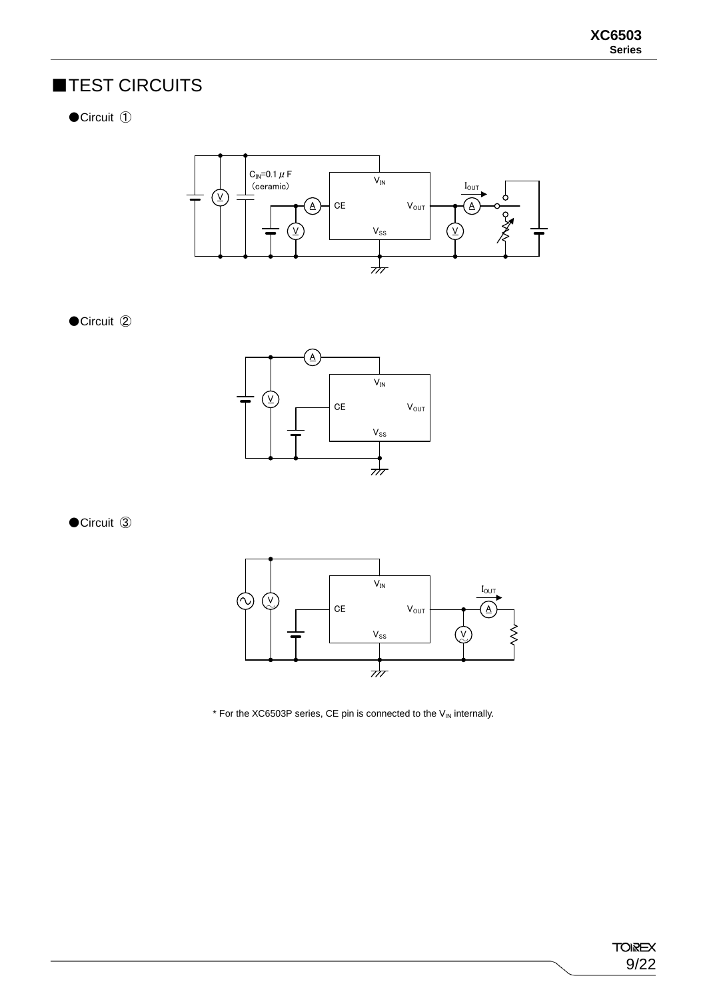## ■TEST CIRCUITS

●Circuit ①



●Circuit ②



●Circuit **③** 



 $*$  For the XC6503P series, CE pin is connected to the  $V_{IN}$  internally.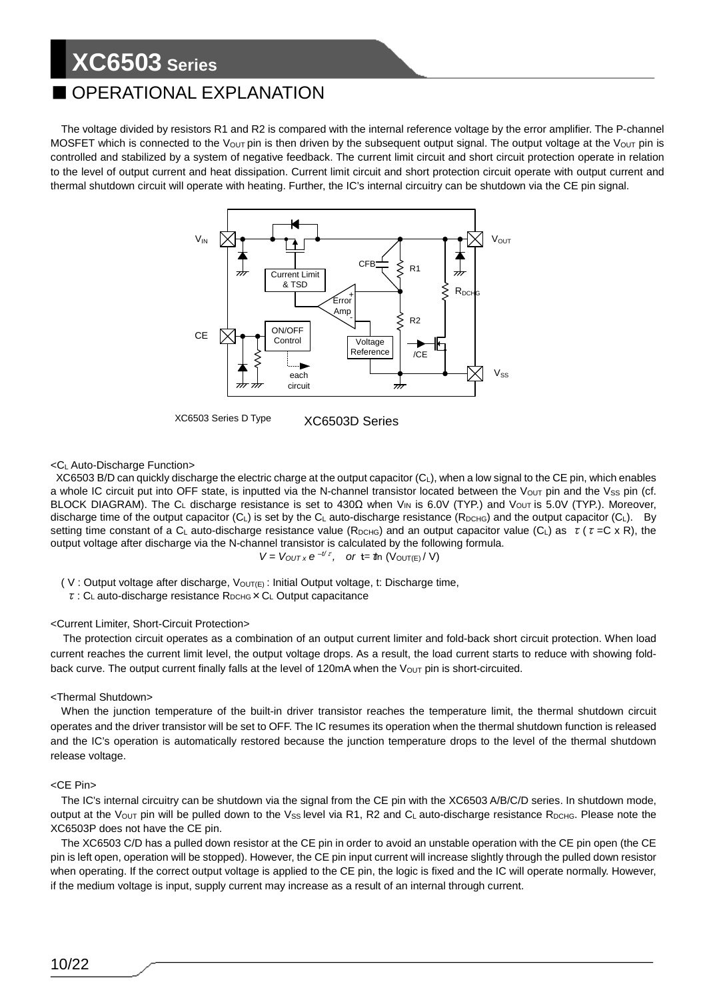### OPERATIONAL EXPLANATION

The voltage divided by resistors R1 and R2 is compared with the internal reference voltage by the error amplifier. The P-channel MOSFET which is connected to the V<sub>OUT</sub> pin is then driven by the subsequent output signal. The output voltage at the V<sub>OUT</sub> pin is controlled and stabilized by a system of negative feedback. The current limit circuit and short circuit protection operate in relation to the level of output current and heat dissipation. Current limit circuit and short protection circuit operate with output current and thermal shutdown circuit will operate with heating. Further, the IC's internal circuitry can be shutdown via the CE pin signal.



XC6503 Series D Type

XC6503D Series

#### <CL Auto-Discharge Function>

XC6503 B/D can quickly discharge the electric charge at the output capacitor (CL), when a low signal to the CE pin, which enables a whole IC circuit put into OFF state, is inputted via the N-channel transistor located between the V<sub>OUT</sub> pin and the V<sub>SS</sub> pin (cf. BLOCK DIAGRAM). The C<sub>L</sub> discharge resistance is set to 430Ω when V<sub>IN</sub> is 6.0V (TYP.) and V<sub>OUT</sub> is 5.0V (TYP.). Moreover, discharge time of the output capacitor  $(C_L)$  is set by the  $C_L$  auto-discharge resistance (R<sub>DCHG</sub>) and the output capacitor ( $C_L$ ). By setting time constant of a C<sub>L</sub> auto-discharge resistance value (R<sub>DCHG</sub>) and an output capacitor value (C<sub>L</sub>) as  $\tau$  ( $\tau$  =C x R), the output voltage after discharge via the N-channel transistor is calculated by the following formula.  $V = V_{OUTX} e^{-t/\tau}$ , or  $t = \pi n (V_{OUT(E)}/V)$ 

- (  $V$  : Output voltage after discharge,  $V_{\text{OUT}(E)}$  : Initial Output voltage, t: Discharge time,
- $\tau$ : C<sub>L</sub> auto-discharge resistance R<sub>DCHG</sub>  $\times$  C<sub>L</sub> Output capacitance

#### <Current Limiter, Short-Circuit Protection>

The protection circuit operates as a combination of an output current limiter and fold-back short circuit protection. When load current reaches the current limit level, the output voltage drops. As a result, the load current starts to reduce with showing foldback curve. The output current finally falls at the level of 120mA when the Vout pin is short-circuited.

#### <Thermal Shutdown>

When the junction temperature of the built-in driver transistor reaches the temperature limit, the thermal shutdown circuit operates and the driver transistor will be set to OFF. The IC resumes its operation when the thermal shutdown function is released and the IC's operation is automatically restored because the junction temperature drops to the level of the thermal shutdown release voltage.

#### <CE Pin>

The IC's internal circuitry can be shutdown via the signal from the CE pin with the XC6503 A/B/C/D series. In shutdown mode, output at the V<sub>OUT</sub> pin will be pulled down to the V<sub>SS</sub> level via R1, R2 and C<sub>L</sub> auto-discharge resistance R<sub>DCHG</sub>. Please note the XC6503P does not have the CE pin.

The XC6503 C/D has a pulled down resistor at the CE pin in order to avoid an unstable operation with the CE pin open (the CE pin is left open, operation will be stopped). However, the CE pin input current will increase slightly through the pulled down resistor when operating. If the correct output voltage is applied to the CE pin, the logic is fixed and the IC will operate normally. However, if the medium voltage is input, supply current may increase as a result of an internal through current.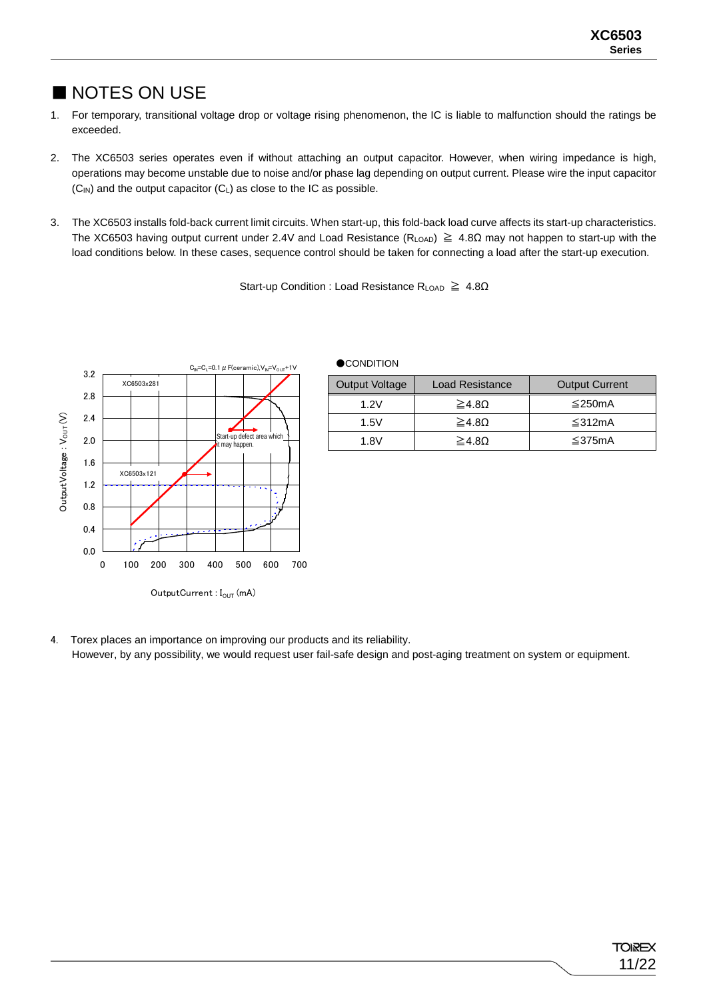### ■ NOTES ON USE

- 1. For temporary, transitional voltage drop or voltage rising phenomenon, the IC is liable to malfunction should the ratings be exceeded.
- 2. The XC6503 series operates even if without attaching an output capacitor. However, when wiring impedance is high, operations may become unstable due to noise and/or phase lag depending on output current. Please wire the input capacitor  $(C_{IN})$  and the output capacitor  $(C_L)$  as close to the IC as possible.
- 3. The XC6503 installs fold-back current limit circuits. When start-up, this fold-back load curve affects its start-up characteristics. The XC6503 having output current under 2.4V and Load Resistance (RLOAD)  $\geq 4.8\Omega$  may not happen to start-up with the load conditions below. In these cases, sequence control should be taken for connecting a load after the start-up execution.

Start-up Condition : Load Resistance RLOAD ≧ 4.8Ω



#### **OCONDITION**

|                                              | <b>Output Voltage</b> | <b>Load Resistance</b> | <b>Output Current</b> |
|----------------------------------------------|-----------------------|------------------------|-----------------------|
|                                              | 1.2V                  | $\geq 4.8\Omega$       | $≤$ 250mA             |
|                                              | 1.5V                  | $\geq 4.8\Omega$       | ≤312mA                |
| Start-up defect area which<br>it may happen. | 1.8V                  | $\geq$ 4.80            | ≦375mA                |

OutputCurrent :  $I_{OUT}$  (mA)

4. Torex places an importance on improving our products and its reliability. However, by any possibility, we would request user fail-safe design and post-aging treatment on system or equipment.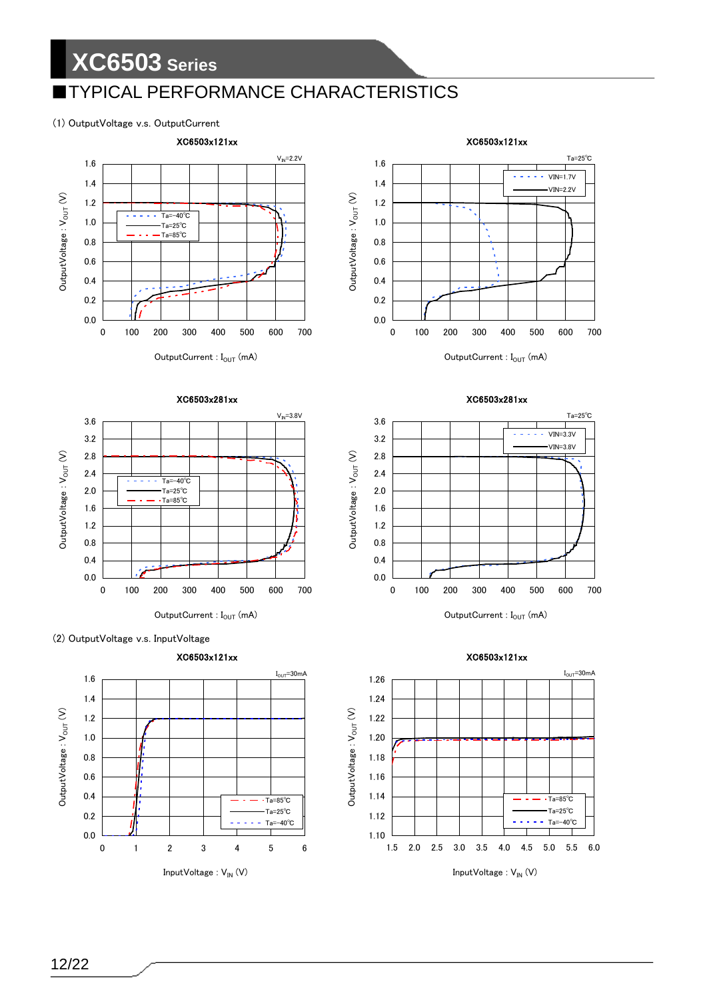## TYPICAL PERFORMANCE CHARACTERISTICS

#### (1) OutputVoltage v.s. OutputCurrent

**XC6503 Series**



#### $OutputCurrent: I<sub>OUT</sub> (mA)$











 $OutputCurrent: I<sub>OUT</sub> (mA)$ 

XC6503x281xx



 $\mathsf{OutputV}$ oltage :  $\mathsf{V}_{\mathsf{OUIT}}\left(\mathsf{V}\right)$ 

 $\mathsf{OutputCurrent} : \mathbf{I}_{\text{OUT}}\ (\text{mA})$ 



InputVoltage :  $V_{IN}$  (V)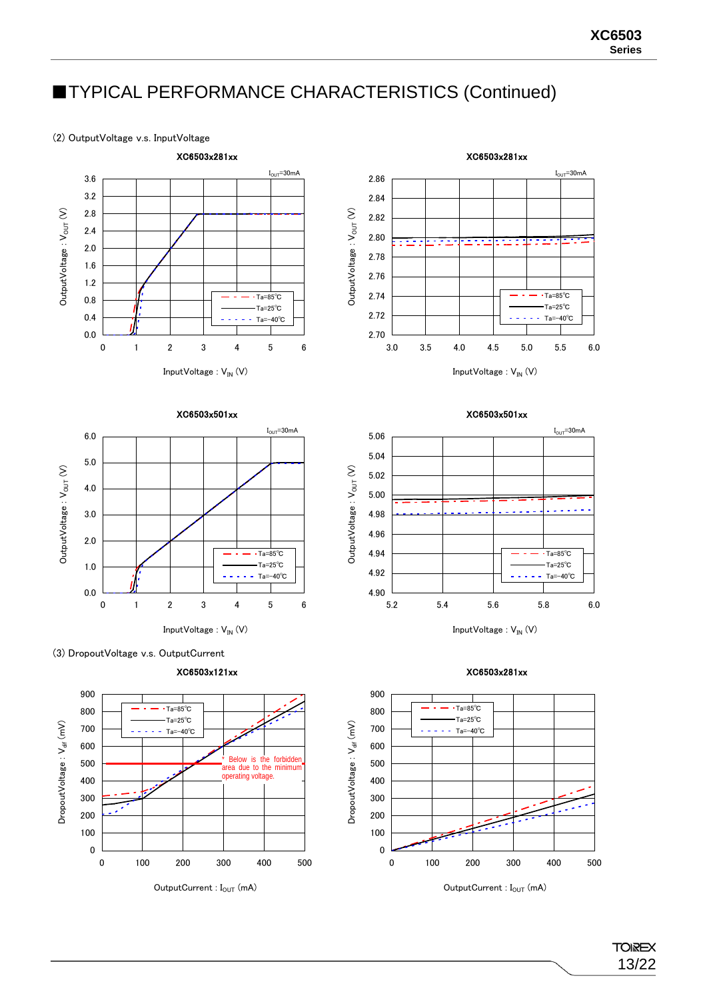## ■TYPICAL PERFORMANCE CHARACTERISTICS (Continued)

#### (2) OutputVoltage v.s. InputVoltage





InputVoltage :  $V_{IN}$  (V)







(3) DropoutVoltage v.s. OutputCurrent









 $OutputCurrent: I<sub>OUT</sub> (mA)$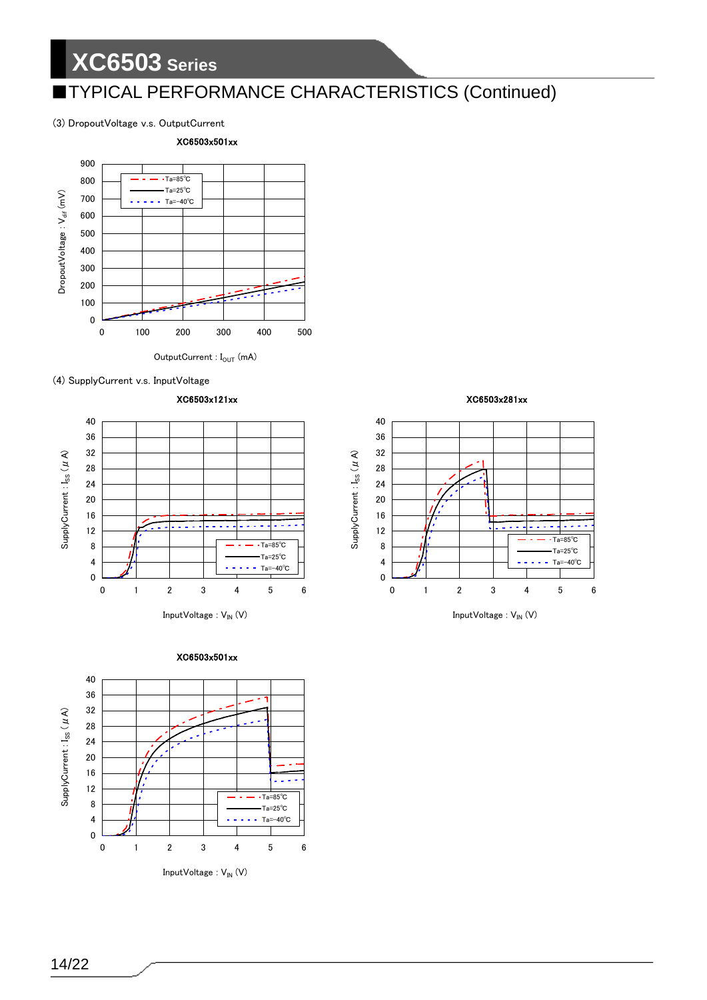## TYPICAL PERFORMANCE CHARACTERISTICS (Continued)

(3) DropoutVoltage v.s. OutputCurrent



 $\mathsf{OutputCurrent}: \mathbf{I}_{\text{OUT}}\ (\text{mA})$ 

(4) SupplyCurrent v.s. InputVoltage

#### XC6503x121xx







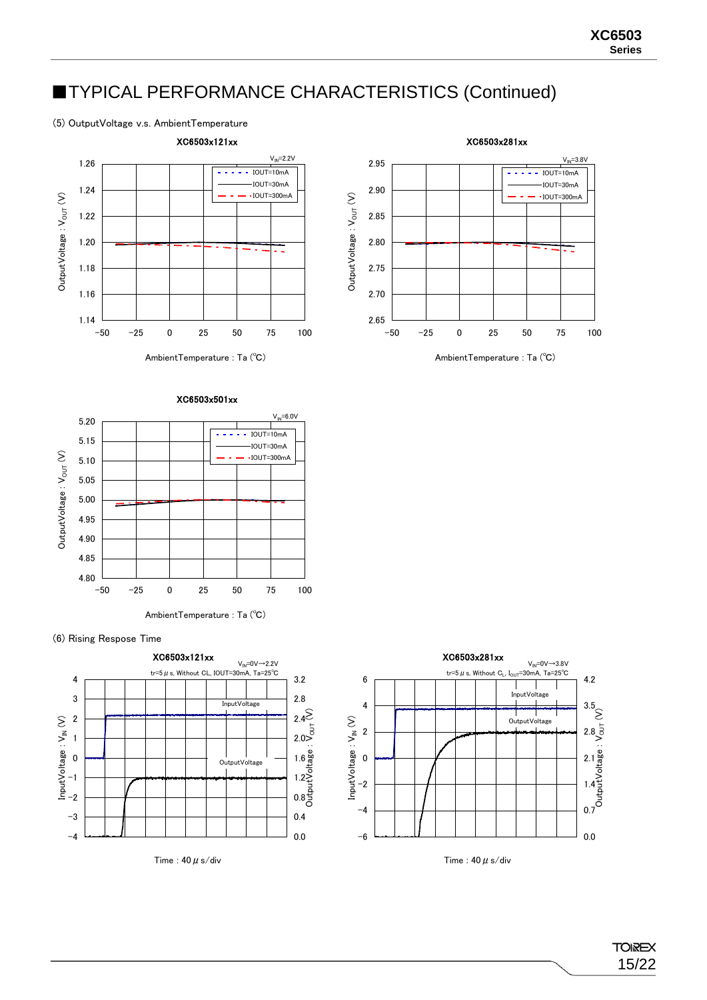$v_{\text{IN}}=3.8V$ 

## ■TYPICAL PERFORMANCE CHARACTERISTICS (Continued)

#### (5) OutputVoltage v.s. AmbientTemperature



XC6503x121xx

AmbientTemperature : Ta (℃)



2.95

XC6503x281xx

#### XC6503x501xx



(6) Rising Respose Time



Time :  $40 \mu$  s/div



Time :  $40 \mu$  s/div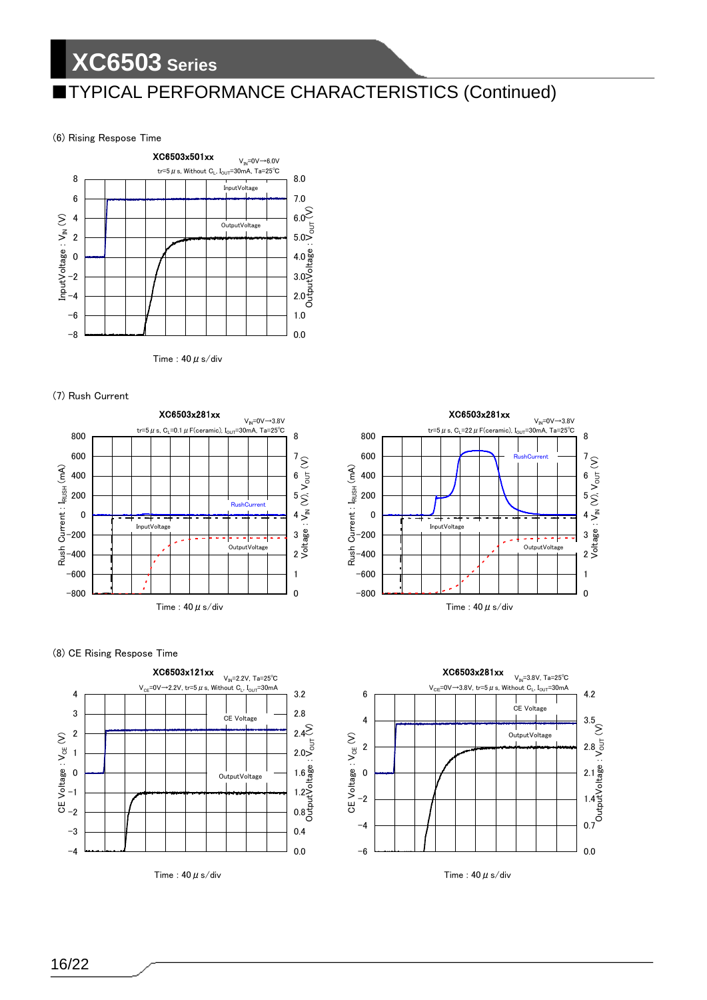## ■TYPICAL PERFORMANCE CHARACTERISTICS (Continued)

(6) Rising Respose Time



Time :  $40 \mu s/div$ 

(7) Rush Current









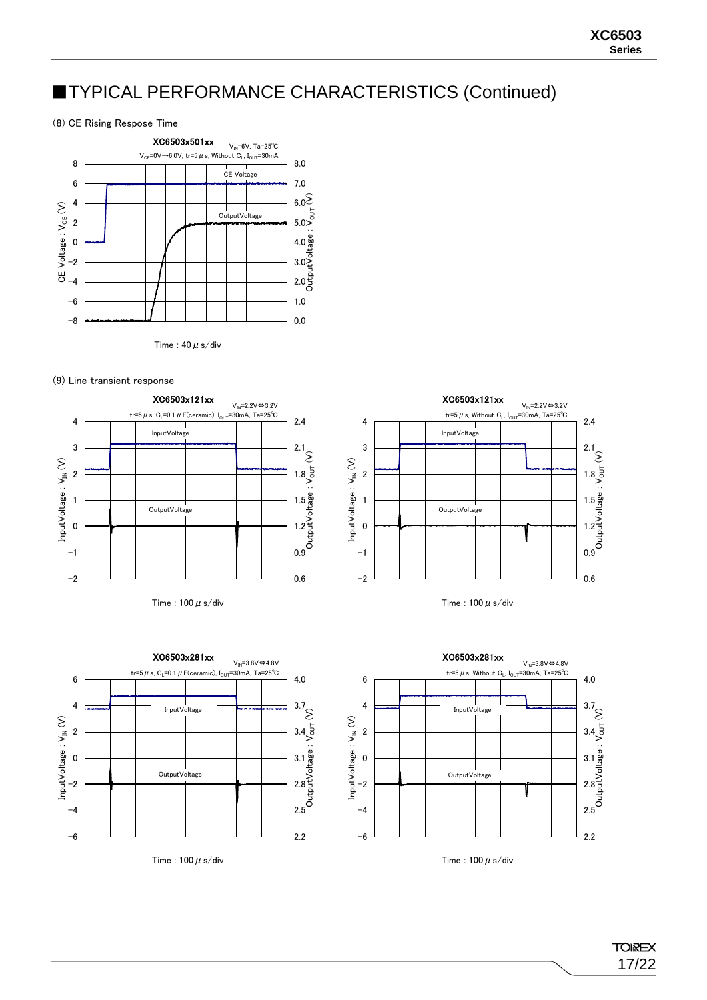## ■TYPICAL PERFORMANCE CHARACTERISTICS (Continued)

#### (8) CE Rising Respose Time



Time :  $40 \mu$  s/div

(9) Line transient response











Time :  $100 \mu$  s/div



Time :  $100 \mu s/div$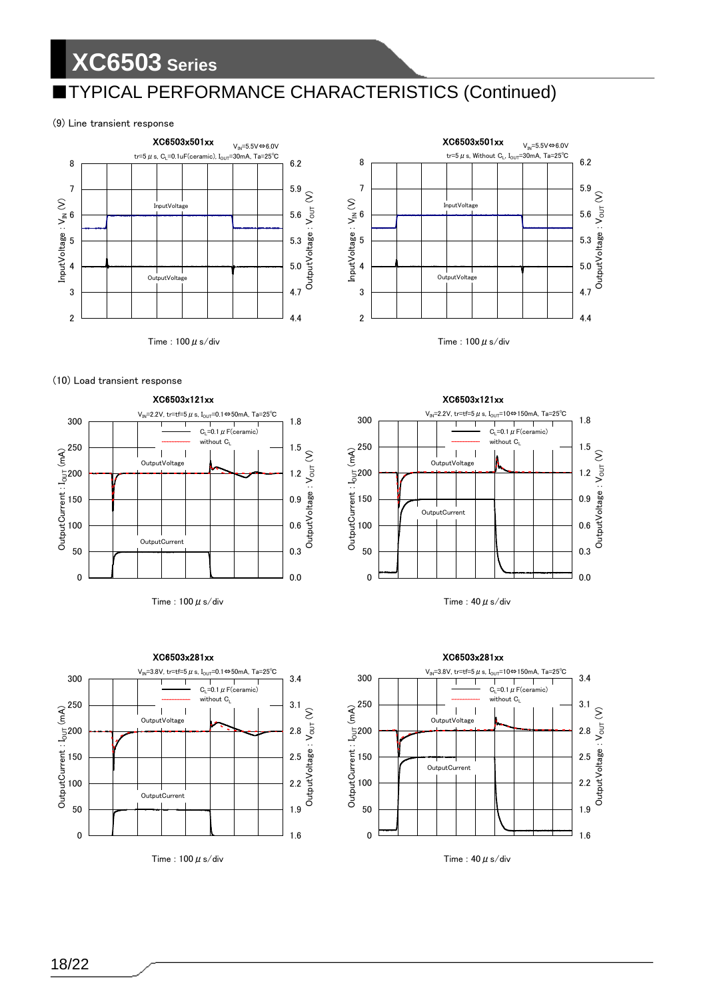## TYPICAL PERFORMANCE CHARACTERISTICS (Continued)

#### (9) Line transient response





(10) Load transient response











Time :  $100 \mu$  s/div



Time :  $40 \mu$  s/div

#### XC6503x121xx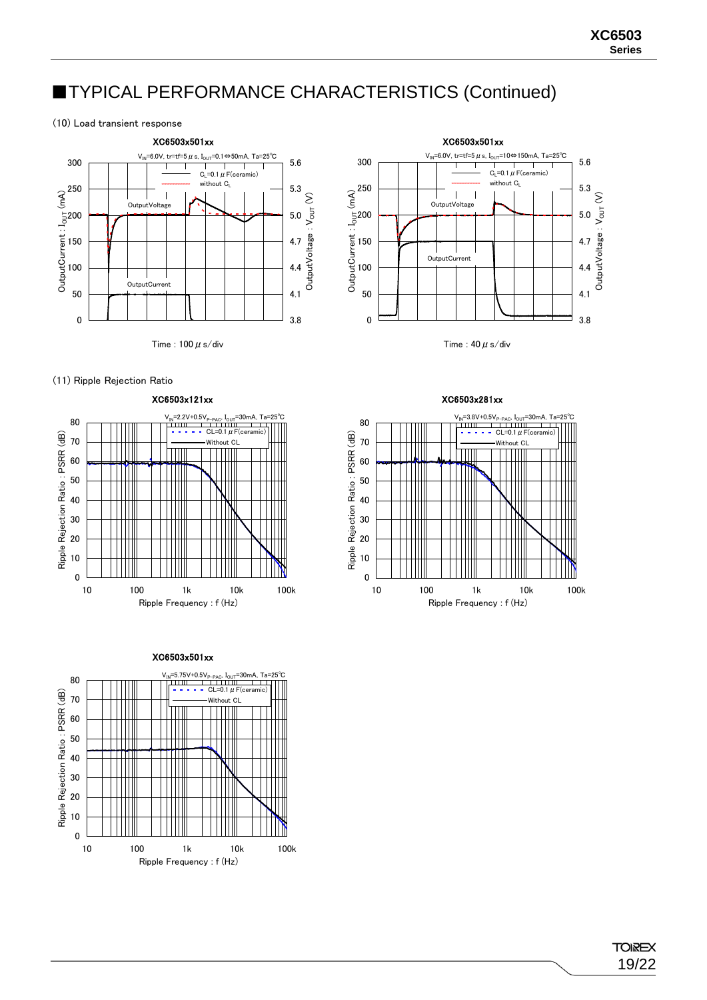## ■TYPICAL PERFORMANCE CHARACTERISTICS (Continued)

#### (10) Load transient response



 $V_{IN}$ =6.0V, tr=tf=5 μ s, I<sub>OUT</sub>=10⇔150mA, Ta=25<sup>°</sup>C 300 5.6  $C_{L}$ =0.1  $\mu$  F(ceramic)  $\widehat{\mathcal{E}}^{250}$ without  $C_L$ 5.3  $\overline{1}$  $\textsf{OutputVoltage}: \textsf{V}_{\textsf{OUT}}\left(\textsf{V}\right)$ OutputCurrent : I<sub>OUT</sub> (mA)  $\overline{\phantom{a}}$  $\mathsf{OutputV}$ oltage :  $\mathsf{V}_{\mathsf{OUT}}$   $(\mathsf{V})$ OutputVoltage 5.0 200 4.7 150  $\overline{\phantom{a}}$  $\mathbf{I}$ OutputCurrent 4.4 100 4.1 50 0 3.8 Time :  $40 \mu s/div$ 

XC6503x501xx

(11) Ripple Rejection Ratio













**TOIREX** 19/22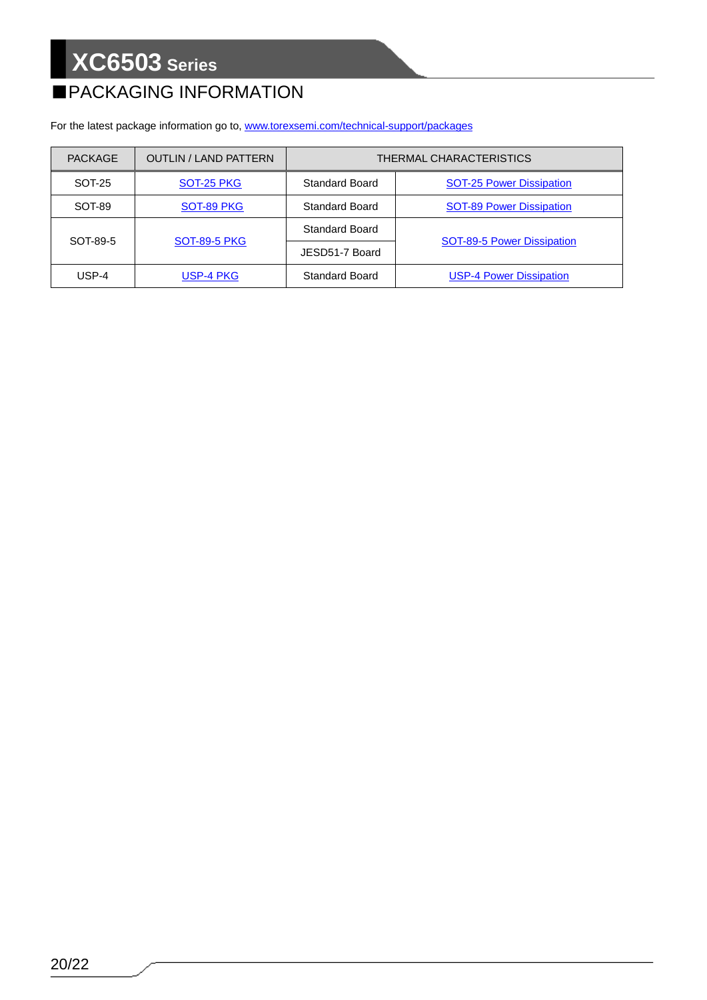## ■PACKAGING INFORMATION

For the latest package information go to, [www.torexsemi.com/technical-support/packages](https://www.torexsemi.com/technical-support/packages/)

| PACKAGE  | <b>OUTLIN / LAND PATTERN</b> | THERMAL CHARACTERISTICS |                                 |  |  |  |
|----------|------------------------------|-------------------------|---------------------------------|--|--|--|
| SOT-25   | SOT-25 PKG                   | <b>Standard Board</b>   | <b>SOT-25 Power Dissipation</b> |  |  |  |
| SOT-89   | SOT-89 PKG                   | <b>Standard Board</b>   | <b>SOT-89 Power Dissipation</b> |  |  |  |
| SOT-89-5 | <b>SOT-89-5 PKG</b>          | <b>Standard Board</b>   | SOT-89-5 Power Dissipation      |  |  |  |
|          |                              | JESD51-7 Board          |                                 |  |  |  |
| USP-4    | USP-4 PKG                    | <b>Standard Board</b>   | <b>USP-4 Power Dissipation</b>  |  |  |  |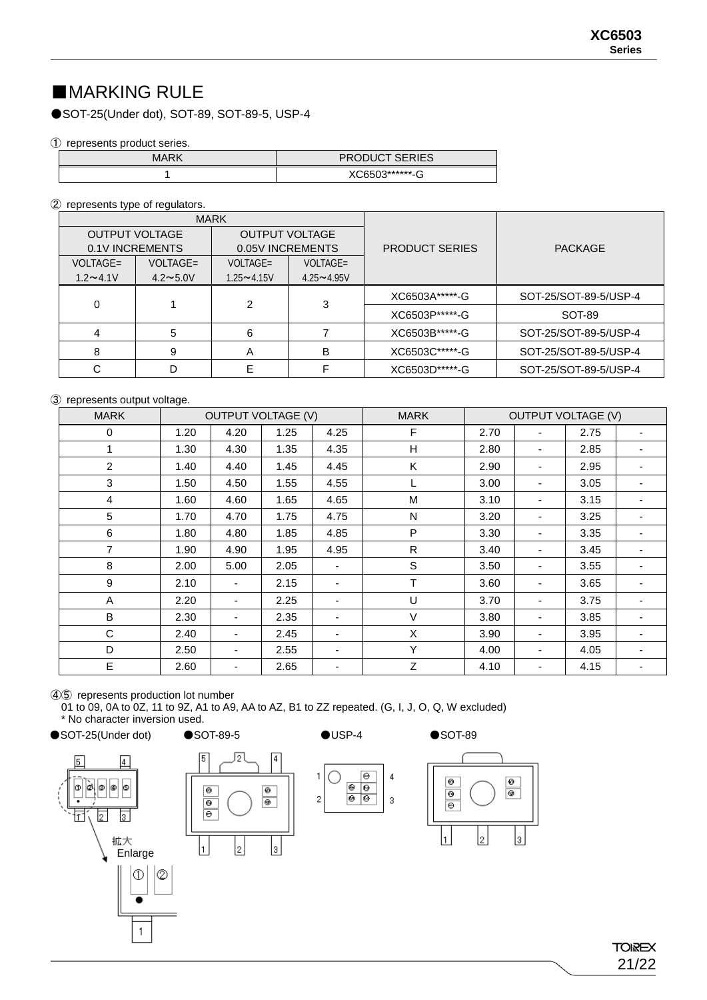## ■MARKING RULE

●SOT-25(Under dot), SOT-89, SOT-89-5, USP-4

#### ① represents product series.

| <b>MARK</b> | <b>PRODUCT SERIES</b> |
|-------------|-----------------------|
|             | XC6503*******-G       |

#### ② represents type of regulators.

| <b>MARK</b>      |                       |                       |                 |                       |                       |  |  |
|------------------|-----------------------|-----------------------|-----------------|-----------------------|-----------------------|--|--|
|                  | <b>OUTPUT VOLTAGE</b> | <b>OUTPUT VOLTAGE</b> |                 |                       |                       |  |  |
| 0.1V INCREMENTS  |                       | 0.05V INCREMENTS      |                 | <b>PRODUCT SERIES</b> | PACKAGE               |  |  |
| VOLTAGE=         | VOLTAGE=              | VOLTAGE=              | <b>VOLTAGE=</b> |                       |                       |  |  |
| $1.2 \sim 4.1$ V | $4.2 \sim 5.0 V$      | $1.25 - 4.15V$        | $4.25 - 4.95V$  |                       |                       |  |  |
| 0                |                       | 2                     | 3               | XC6503A******-G       | SOT-25/SOT-89-5/USP-4 |  |  |
|                  |                       |                       |                 | XC6503P******-G       | SOT-89                |  |  |
| 4                | 5                     | 6                     |                 | XC6503B*****-G        | SOT-25/SOT-89-5/USP-4 |  |  |
| 8                | 9                     | A                     | B               | XC6503C*****-G        | SOT-25/SOT-89-5/USP-4 |  |  |
| С                | D                     | E                     |                 | XC6503D*****-G        | SOT-25/SOT-89-5/USP-4 |  |  |

#### ③ represents output voltage.

| <b>MARK</b>    | <b>OUTPUT VOLTAGE (V)</b> |      |      |                          | <b>MARK</b>  | <b>OUTPUT VOLTAGE (V)</b> |                          |      |  |
|----------------|---------------------------|------|------|--------------------------|--------------|---------------------------|--------------------------|------|--|
| 0              | 1.20                      | 4.20 | 1.25 | 4.25                     | F            | 2.70                      | ٠                        | 2.75 |  |
| 1              | 1.30                      | 4.30 | 1.35 | 4.35                     | H            | 2.80                      | ٠                        | 2.85 |  |
| 2              | 1.40                      | 4.40 | 1.45 | 4.45                     | Κ            | 2.90                      |                          | 2.95 |  |
| 3              | 1.50                      | 4.50 | 1.55 | 4.55                     |              | 3.00                      | ٠                        | 3.05 |  |
| $\overline{4}$ | 1.60                      | 4.60 | 1.65 | 4.65                     | M            | 3.10                      |                          | 3.15 |  |
| 5              | 1.70                      | 4.70 | 1.75 | 4.75                     | N            | 3.20                      | ۰                        | 3.25 |  |
| 6              | 1.80                      | 4.80 | 1.85 | 4.85                     | P            | 3.30                      | ٠                        | 3.35 |  |
| $\overline{7}$ | 1.90                      | 4.90 | 1.95 | 4.95                     | R            | 3.40                      | $\overline{\phantom{a}}$ | 3.45 |  |
| 8              | 2.00                      | 5.00 | 2.05 | $\overline{\phantom{a}}$ | $\mathsf{s}$ | 3.50                      | ۰                        | 3.55 |  |
| 9              | 2.10                      |      | 2.15 | ۰.                       | T.           | 3.60                      | ٠                        | 3.65 |  |
| A              | 2.20                      | ۰    | 2.25 | ٠                        | U            | 3.70                      | ٠                        | 3.75 |  |
| B              | 2.30                      | ۰    | 2.35 | ۰                        | $\vee$       | 3.80                      | ٠                        | 3.85 |  |
| C              | 2.40                      | ۰    | 2.45 | $\overline{\phantom{a}}$ | X            | 3.90                      | ٠                        | 3.95 |  |
| D              | 2.50                      |      | 2.55 | ٠                        | Y            | 4.00                      | ٠                        | 4.05 |  |
| E              | 2.60                      |      | 2.65 |                          | Z            | 4.10                      | $\overline{\phantom{0}}$ | 4.15 |  |

④⑤ represents production lot number

01 to 09, 0A to 0Z, 11 to 9Z, A1 to A9, AA to AZ, B1 to ZZ repeated. (G, I, J, O, Q, W excluded) \* No character inversion used.

 $\sqrt{5}$  $\overline{4}$  $|\grave{\sigma}| |\sigma|$  $|\Phi|$ ۱o lФ ø  $\frac{1}{\sqrt{2}}$ ਜਿ  $\boxed{2}$  $\boxed{3}$ 拡大  $\vert_1\vert$ Enlarge  $^\circledR$ Ø  $\overline{\bullet}$  $\mathbf{1}$